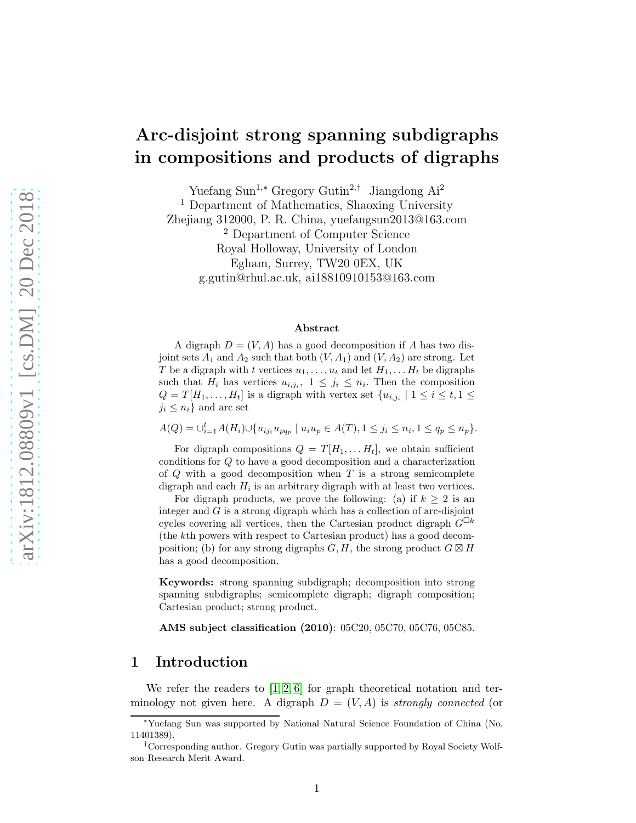# Arc-disjoint strong spanning subdigraphs in compositions and products of digraphs

Yuefang Sun<sup>1</sup>,<sup>∗</sup> Gregory Gutin<sup>2</sup>,† Jiangdong Ai<sup>2</sup> <sup>1</sup> Department of Mathematics, Shaoxing University Zhejiang 312000, P. R. China, yuefangsun2013@163.com <sup>2</sup> Department of Computer Science Royal Holloway, University of London Egham, Surrey, TW20 0EX, UK g.gutin@rhul.ac.uk, ai18810910153@163.com

#### Abstract

A digraph  $D = (V, A)$  has a good decomposition if A has two disjoint sets  $A_1$  and  $A_2$  such that both  $(V, A_1)$  and  $(V, A_2)$  are strong. Let T be a digraph with t vertices  $u_1, \ldots, u_t$  and let  $H_1, \ldots, H_t$  be digraphs such that  $H_i$  has vertices  $u_{i,j_i}$ ,  $1 \leq j_i \leq n_i$ . Then the composition  $Q = T[H_1, \ldots, H_t]$  is a digraph with vertex set  $\{u_{i,j_i} \mid 1 \leq i \leq t, 1 \leq t\}$  $j_i \leq n_i$  and arc set

 $A(Q) = \bigcup_{i=1}^{t} A(H_i) \cup \{u_{ij_i}u_{pq_p} \mid u_iu_p \in A(T), 1 \leq j_i \leq n_i, 1 \leq q_p \leq n_p\}.$ 

For digraph compositions  $Q = T[H_1, \ldots H_t]$ , we obtain sufficient conditions for Q to have a good decomposition and a characterization of  $Q$  with a good decomposition when  $T$  is a strong semicomplete digraph and each  $H_i$  is an arbitrary digraph with at least two vertices.

For digraph products, we prove the following: (a) if  $k > 2$  is an integer and  $G$  is a strong digraph which has a collection of arc-disjoint cycles covering all vertices, then the Cartesian product digraph  $G^{\Box k}$ (the kth powers with respect to Cartesian product) has a good decomposition; (b) for any strong digraphs  $G, H$ , the strong product  $G \boxtimes H$ has a good decomposition.

Keywords: strong spanning subdigraph; decomposition into strong spanning subdigraphs; semicomplete digraph; digraph composition; Cartesian product; strong product.

AMS subject classification (2010): 05C20, 05C70, 05C76, 05C85.

# 1 Introduction

We refer the readers to  $[1, 2, 6]$  $[1, 2, 6]$  $[1, 2, 6]$  for graph theoretical notation and terminology not given here. A digraph  $D = (V, A)$  is *strongly connected* (or

<sup>∗</sup>Yuefang Sun was supported by National Natural Science Foundation of China (No. 11401389).

<sup>†</sup>Corresponding author. Gregory Gutin was partially supported by Royal Society Wolfson Research Merit Award.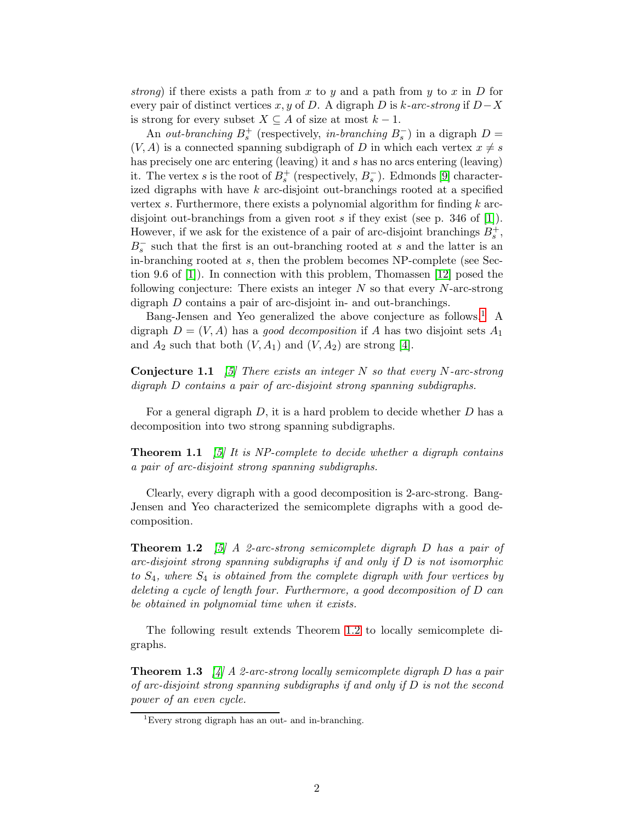*strong*) if there exists a path from x to y and a path from y to x in  $D$  for every pair of distinct vertices x, y of D. A digraph D is k*-arc-strong* if D−X is strong for every subset  $X \subseteq A$  of size at most  $k - 1$ .

An *out-branching*  $B_s^+$  (respectively, *in-branching*  $B_s^-$ ) in a digraph  $D =$  $(V, A)$  is a connected spanning subdigraph of D in which each vertex  $x \neq s$ has precisely one arc entering (leaving) it and s has no arcs entering (leaving) it. The vertex s is the root of  $B_s^+$  (respectively,  $B_s^-$ ). Edmonds [\[9\]](#page-13-0) characterized digraphs with have  $k$  arc-disjoint out-branchings rooted at a specified vertex s. Furthermore, there exists a polynomial algorithm for finding  $k$  arcdisjoint out-branchings from a given root s if they exist (see p. 346 of [\[1\]](#page-12-0)). However, if we ask for the existence of a pair of arc-disjoint branchings  $B_s^+$ ,  $B_s^-$  such that the first is an out-branching rooted at s and the latter is an in-branching rooted at s, then the problem becomes NP-complete (see Section 9.6 of [\[1\]](#page-12-0)). In connection with this problem, Thomassen [\[12\]](#page-13-1) posed the following conjecture: There exists an integer  $N$  so that every  $N$ -arc-strong digraph D contains a pair of arc-disjoint in- and out-branchings.

Bang-Jensen and Yeo generalized the above conjecture as follows.<sup>[1](#page-1-0)</sup> A digraph  $D = (V, A)$  has a *good decomposition* if A has two disjoint sets  $A_1$ and  $A_2$  such that both  $(V, A_1)$  and  $(V, A_2)$  are strong [\[4\]](#page-12-3).

<span id="page-1-3"></span>Conjecture 1.1 *[\[5\]](#page-12-4) There exists an integer* N *so that every* N*-arc-strong digraph* D *contains a pair of arc-disjoint strong spanning subdigraphs.*

For a general digraph  $D$ , it is a hard problem to decide whether  $D$  has a decomposition into two strong spanning subdigraphs.

Theorem 1.1 *[\[5\]](#page-12-4) It is NP-complete to decide whether a digraph contains a pair of arc-disjoint strong spanning subdigraphs.*

<span id="page-1-1"></span>Clearly, every digraph with a good decomposition is 2-arc-strong. Bang-Jensen and Yeo characterized the semicomplete digraphs with a good decomposition.

Theorem 1.2 *[\[5\]](#page-12-4) A 2-arc-strong semicomplete digraph* D *has a pair of arc-disjoint strong spanning subdigraphs if and only if* D *is not isomorphic to* S4*, where* S<sup>4</sup> *is obtained from the complete digraph with four vertices by deleting a cycle of length four. Furthermore, a good decomposition of* D *can be obtained in polynomial time when it exists.*

<span id="page-1-2"></span>The following result extends Theorem [1.2](#page-1-1) to locally semicomplete digraphs.

Theorem 1.3 *[\[4\]](#page-12-3) A 2-arc-strong locally semicomplete digraph* D *has a pair of arc-disjoint strong spanning subdigraphs if and only if* D *is not the second power of an even cycle.*

<span id="page-1-0"></span><sup>&</sup>lt;sup>1</sup>Every strong digraph has an out- and in-branching.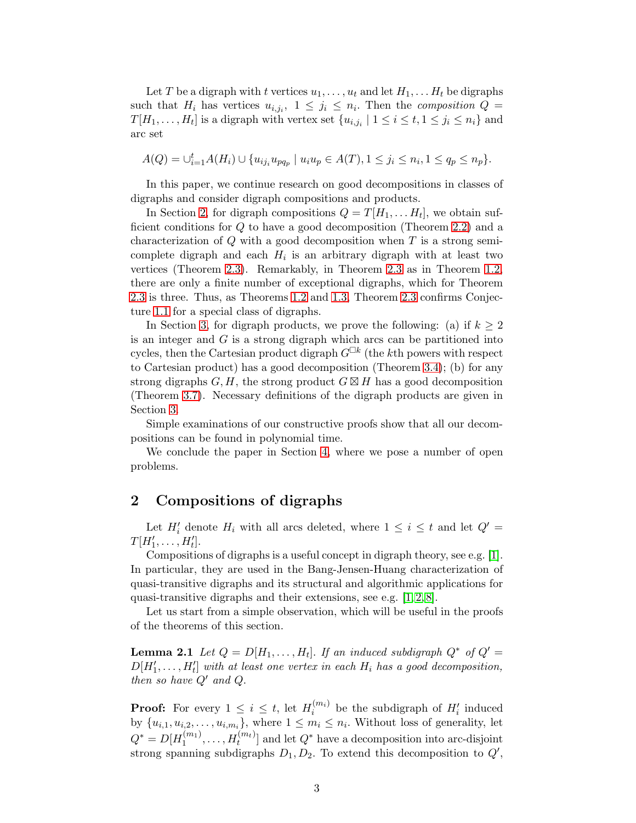Let T be a digraph with t vertices  $u_1, \ldots, u_t$  and let  $H_1, \ldots, H_t$  be digraphs such that  $H_i$  has vertices  $u_{i,j_i}$ ,  $1 \leq j_i \leq n_i$ . Then the *composition*  $Q =$  $T[H_1, \ldots, H_t]$  is a digraph with vertex set  $\{u_{i,j_i} \mid 1 \le i \le t, 1 \le j_i \le n_i\}$  and arc set

$$
A(Q) = \bigcup_{i=1}^{t} A(H_i) \cup \{u_{ij_i}u_{pq_p} \mid u_iu_p \in A(T), 1 \leq j_i \leq n_i, 1 \leq q_p \leq n_p\}.
$$

In this paper, we continue research on good decompositions in classes of digraphs and consider digraph compositions and products.

In Section [2,](#page-2-0) for digraph compositions  $Q = T[H_1, \ldots H_t]$ , we obtain sufficient conditions for Q to have a good decomposition (Theorem [2.2\)](#page-3-0) and a characterization of  $Q$  with a good decomposition when  $T$  is a strong semicomplete digraph and each  $H_i$  is an arbitrary digraph with at least two vertices (Theorem [2.3\)](#page-5-0). Remarkably, in Theorem [2.3](#page-5-0) as in Theorem [1.2,](#page-1-1) there are only a finite number of exceptional digraphs, which for Theorem [2.3](#page-5-0) is three. Thus, as Theorems [1.2](#page-1-1) and [1.3,](#page-1-2) Theorem [2.3](#page-5-0) confirms Conjecture [1.1](#page-1-3) for a special class of digraphs.

In Section [3,](#page-6-0) for digraph products, we prove the following: (a) if  $k \geq 2$ is an integer and  $G$  is a strong digraph which arcs can be partitioned into cycles, then the Cartesian product digraph  $G^{\Box k}$  (the kth powers with respect to Cartesian product) has a good decomposition (Theorem [3.4\)](#page-9-0); (b) for any strong digraphs  $G, H$ , the strong product  $G \boxtimes H$  has a good decomposition (Theorem [3.7\)](#page-10-0). Necessary definitions of the digraph products are given in Section [3.](#page-6-0)

Simple examinations of our constructive proofs show that all our decompositions can be found in polynomial time.

We conclude the paper in Section [4,](#page-11-0) where we pose a number of open problems.

### <span id="page-2-0"></span>2 Compositions of digraphs

Let  $H'_i$  denote  $H_i$  with all arcs deleted, where  $1 \leq i \leq t$  and let  $Q' =$  $T[H'_1,\ldots,H'_t].$ 

Compositions of digraphs is a useful concept in digraph theory, see e.g. [\[1\]](#page-12-0). In particular, they are used in the Bang-Jensen-Huang characterization of quasi-transitive digraphs and its structural and algorithmic applications for quasi-transitive digraphs and their extensions, see e.g. [\[1,](#page-12-0) [2,](#page-12-1) [8\]](#page-13-2).

<span id="page-2-1"></span>Let us start from a simple observation, which will be useful in the proofs of the theorems of this section.

**Lemma 2.1** *Let*  $Q = D[H_1, \ldots, H_t]$ *. If an induced subdigraph*  $Q^*$  *of*  $Q' =$  $D[H'_1, \ldots, H'_t]$  with at least one vertex in each  $H_i$  has a good decomposition, *then so have* Q′ *and* Q.

**Proof:** For every  $1 \leq i \leq t$ , let  $H_i^{(m_i)}$  $i^{(m_i)}$  be the subdigraph of  $H'_i$  induced by  $\{u_{i,1}, u_{i,2}, \ldots, u_{i,m_i}\}$ , where  $1 \leq m_i \leq n_i$ . Without loss of generality, let  $Q^* = D[H_1^{(m_1)}]$  $\mathcal{H}_1^{(m_1)}, \ldots, \mathcal{H}_t^{(m_t)}$  and let  $Q^*$  have a decomposition into arc-disjoint strong spanning subdigraphs  $D_1, D_2$ . To extend this decomposition to  $Q'$ ,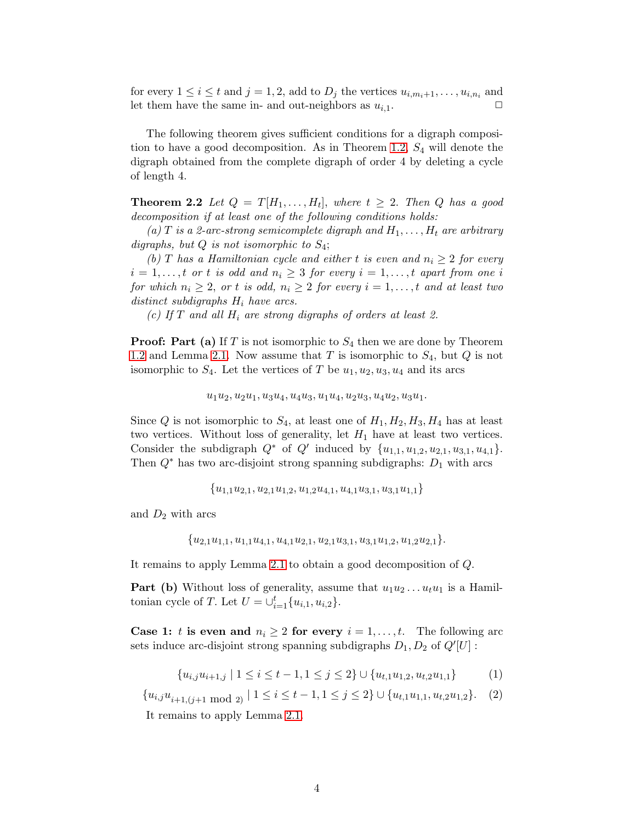for every  $1 \leq i \leq t$  and  $j = 1, 2$ , add to  $D_j$  the vertices  $u_{i,m_i+1}, \ldots, u_{i,n_i}$  and let them have the same in- and out-neighbors as  $u_{i,1}$ .

The following theorem gives sufficient conditions for a digraph composi-tion to have a good decomposition. As in Theorem [1.2,](#page-1-1)  $S_4$  will denote the digraph obtained from the complete digraph of order 4 by deleting a cycle of length 4.

<span id="page-3-0"></span>**Theorem 2.2** Let  $Q = T[H_1, \ldots, H_t]$ , where  $t \geq 2$ . Then Q has a good *decomposition if at least one of the following conditions holds:*

(a) T is a 2-arc-strong semicomplete digraph and  $H_1, \ldots, H_t$  are arbitrary *digraphs, but* Q *is not isomorphic to* S4;

*(b)* T has a Hamiltonian cycle and either t is even and  $n_i \geq 2$  for every  $i = 1, \ldots, t$  *or* t *is odd and*  $n_i \geq 3$  *for every*  $i = 1, \ldots, t$  *apart from one* i *for which*  $n_i \geq 2$ , *or t is odd,*  $n_i \geq 2$  *for every*  $i = 1, \ldots, t$  *and at least two distinct subdigraphs* H<sup>i</sup> *have arcs.*

*(c) If* T *and all* H<sup>i</sup> *are strong digraphs of orders at least 2.*

**Proof: Part (a)** If T is not isomorphic to  $S_4$  then we are done by Theorem [1.2](#page-1-1) and Lemma [2.1.](#page-2-1) Now assume that T is isomorphic to  $S_4$ , but Q is not isomorphic to  $S_4$ . Let the vertices of T be  $u_1, u_2, u_3, u_4$  and its arcs

 $u_1u_2, u_2u_1, u_3u_4, u_4u_3, u_1u_4, u_2u_3, u_4u_2, u_3u_1.$ 

Since Q is not isomorphic to  $S_4$ , at least one of  $H_1, H_2, H_3, H_4$  has at least two vertices. Without loss of generality, let  $H_1$  have at least two vertices. Consider the subdigraph  $Q^*$  of  $Q'$  induced by  $\{u_{1,1}, u_{1,2}, u_{2,1}, u_{3,1}, u_{4,1}\}.$ Then  $Q^*$  has two arc-disjoint strong spanning subdigraphs:  $D_1$  with arcs

 ${u_{1,1}u_{2,1}, u_{2,1}u_{1,2}, u_{1,2}u_{4,1}, u_{4,1}u_{3,1}, u_{3,1}u_{1,1}}$ 

and  $D_2$  with arcs

 ${u_{2,1}u_{1,1}, u_{1,1}u_{4,1}, u_{4,1}u_{2,1}, u_{2,1}u_{3,1}, u_{3,1}u_{1,2}, u_{1,2}u_{2,1}.}$ 

It remains to apply Lemma [2.1](#page-2-1) to obtain a good decomposition of Q.

**Part (b)** Without loss of generality, assume that  $u_1u_2 \ldots u_tu_1$  is a Hamiltonian cycle of T. Let  $U = \bigcup_{i=1}^{t} \{u_{i,1}, u_{i,2}\}.$ 

**Case 1:** t is even and  $n_i \geq 2$  for every  $i = 1, \ldots, t$ . The following arc sets induce arc-disjoint strong spanning subdigraphs  $D_1, D_2$  of  $Q'[U]$ :

<span id="page-3-1"></span>
$$
\{u_{i,j}u_{i+1,j} \mid 1 \le i \le t-1, 1 \le j \le 2\} \cup \{u_{t,1}u_{1,2}, u_{t,2}u_{1,1}\}\tag{1}
$$

<span id="page-3-2"></span> ${u_{i,j}u_{i+1,(j+1 \mod 2)} | 1 \le i \le t-1, 1 \le j \le 2} \cup {u_{t,1}u_{1,1}, u_{t,2}u_{1,2}}.$  (2)

It remains to apply Lemma [2.1.](#page-2-1)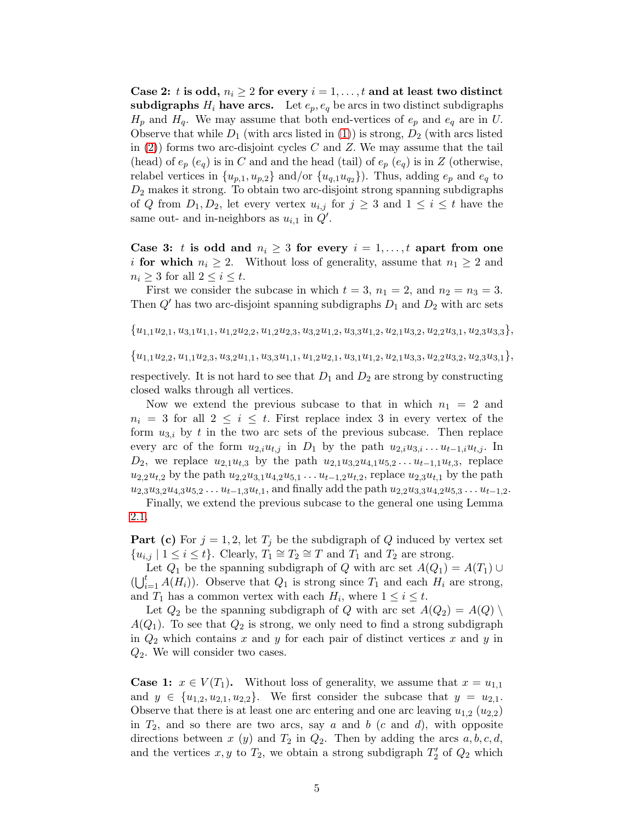Case 2: t is odd,  $n_i \geq 2$  for every  $i = 1, \ldots, t$  and at least two distinct subdigraphs  $H_i$  have arcs. Let  $e_p, e_q$  be arcs in two distinct subdigraphs  $H_p$  and  $H_q$ . We may assume that both end-vertices of  $e_p$  and  $e_q$  are in U. Observe that while  $D_1$  (with arcs listed in [\(1\)](#page-3-1)) is strong,  $D_2$  (with arcs listed in  $(2)$ ) forms two arc-disjoint cycles C and Z. We may assume that the tail (head) of  $e_p$  ( $e_q$ ) is in C and and the head (tail) of  $e_p$  ( $e_q$ ) is in Z (otherwise, relabel vertices in  $\{u_{p,1}, u_{p,2}\}$  and/or  $\{u_{q,1}u_{q,2}\}\)$ . Thus, adding  $e_p$  and  $e_q$  to  $D_2$  makes it strong. To obtain two arc-disjoint strong spanning subdigraphs of Q from  $D_1, D_2$ , let every vertex  $u_{i,j}$  for  $j \geq 3$  and  $1 \leq i \leq t$  have the same out- and in-neighbors as  $u_{i,1}$  in  $\dot{Q}'$ .

Case 3: t is odd and  $n_i \geq 3$  for every  $i = 1, \ldots, t$  apart from one *i* for which  $n_i \geq 2$ . Without loss of generality, assume that  $n_1 \geq 2$  and  $n_i \geq 3$  for all  $2 \leq i \leq t$ .

First we consider the subcase in which  $t = 3$ ,  $n_1 = 2$ , and  $n_2 = n_3 = 3$ . Then  $Q'$  has two arc-disjoint spanning subdigraphs  $D_1$  and  $D_2$  with arc sets

 $\{u_{1,1}u_{2,1}, u_{3,1}u_{1,1}, u_{1,2}u_{2,2}, u_{1,2}u_{2,3}, u_{3,2}u_{1,2}, u_{3,3}u_{1,2}, u_{2,1}u_{3,2}, u_{2,2}u_{3,1}, u_{2,3}u_{3,3}\},$ 

 $\{u_{1,1}u_{2,2}, u_{1,1}u_{2,3}, u_{3,2}u_{1,1}, u_{3,3}u_{1,1}, u_{1,2}u_{2,1}, u_{3,1}u_{1,2}, u_{2,1}u_{3,3}, u_{2,2}u_{3,2}, u_{2,3}u_{3,1}\},$ 

respectively. It is not hard to see that  $D_1$  and  $D_2$  are strong by constructing closed walks through all vertices.

Now we extend the previous subcase to that in which  $n_1 = 2$  and  $n_i = 3$  for all  $2 \leq i \leq t$ . First replace index 3 in every vertex of the form  $u_{3,i}$  by t in the two arc sets of the previous subcase. Then replace every arc of the form  $u_{2,i}u_{t,j}$  in  $D_1$  by the path  $u_{2,i}u_{3,i} \ldots u_{t-1,i}u_{t,j}$ . In  $D_2$ , we replace  $u_{2,1}u_{t,3}$  by the path  $u_{2,1}u_{3,2}u_{4,1}u_{5,2}...u_{t-1,1}u_{t,3}$ , replace  $u_{2,2}u_{t,2}$  by the path  $u_{2,2}u_{3,1}u_{4,2}u_{5,1}...u_{t-1,2}u_{t,2}$ , replace  $u_{2,3}u_{t,1}$  by the path  $u_{2,3}u_{3,2}u_{4,3}u_{5,2}...u_{t-1,3}u_{t,1}$ , and finally add the path  $u_{2,2}u_{3,3}u_{4,2}u_{5,3}...u_{t-1,2}$ .

Finally, we extend the previous subcase to the general one using Lemma [2.1.](#page-2-1)

**Part (c)** For  $j = 1, 2$ , let  $T_j$  be the subdigraph of Q induced by vertex set  $\{u_{i,j} \mid 1 \leq i \leq t\}$ . Clearly,  $T_1 \cong T_2 \cong T$  and  $T_1$  and  $T_2$  are strong.

Let  $Q_1$  be the spanning subdigraph of Q with arc set  $A(Q_1) = A(T_1) \cup$  $\left(\bigcup_{i=1}^t A(H_i)\right)$ . Observe that  $Q_1$  is strong since  $T_1$  and each  $H_i$  are strong, and  $T_1$  has a common vertex with each  $H_i$ , where  $1 \leq i \leq t$ .

Let  $Q_2$  be the spanning subdigraph of Q with arc set  $A(Q_2) = A(Q)$  $A(Q_1)$ . To see that  $Q_2$  is strong, we only need to find a strong subdigraph in  $Q_2$  which contains x and y for each pair of distinct vertices x and y in  $Q_2$ . We will consider two cases.

**Case 1:**  $x \in V(T_1)$ . Without loss of generality, we assume that  $x = u_{1,1}$ and  $y \in \{u_{1,2}, u_{2,1}, u_{2,2}\}.$  We first consider the subcase that  $y = u_{2,1}.$ Observe that there is at least one arc entering and one arc leaving  $u_{1,2}$  ( $u_{2,2}$ ) in  $T_2$ , and so there are two arcs, say a and b (c and d), with opposite directions between x (y) and  $T_2$  in  $Q_2$ . Then by adding the arcs  $a, b, c, d$ , and the vertices  $x, y$  to  $T_2$ , we obtain a strong subdigraph  $T_2'$  of  $Q_2$  which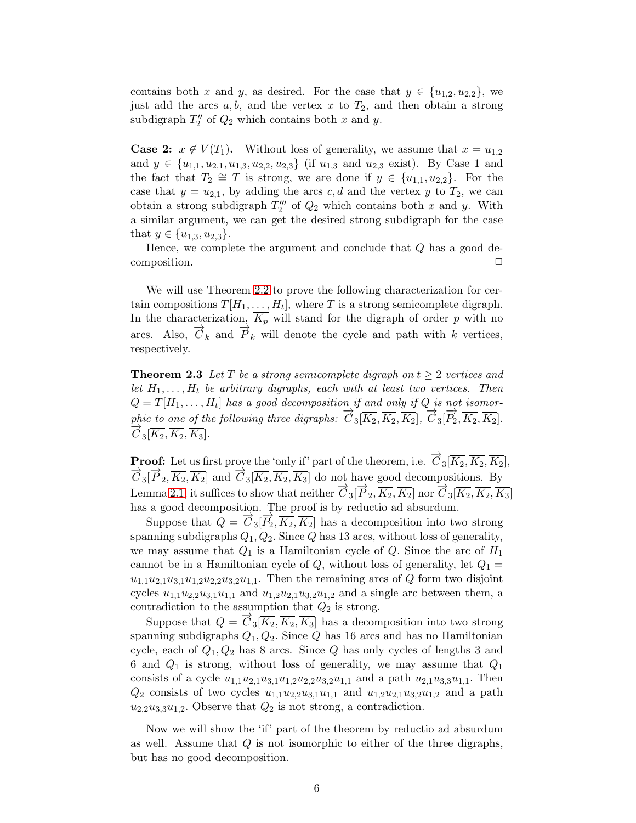contains both x and y, as desired. For the case that  $y \in \{u_{1,2}, u_{2,2}\}\,$ , we just add the arcs  $a, b$ , and the vertex x to  $T_2$ , and then obtain a strong subdigraph  $T''_2$  of  $Q_2$  which contains both x and y.

**Case 2:**  $x \notin V(T_1)$ . Without loss of generality, we assume that  $x = u_{1,2}$ and  $y \in \{u_{1,1}, u_{2,1}, u_{1,3}, u_{2,2}, u_{2,3}\}$  (if  $u_{1,3}$  and  $u_{2,3}$  exist). By Case 1 and the fact that  $T_2 \cong T$  is strong, we are done if  $y \in \{u_{1,1}, u_{2,2}\}.$  For the case that  $y = u_{2,1}$ , by adding the arcs c, d and the vertex y to  $T_2$ , we can obtain a strong subdigraph  $T_2'''$  of  $Q_2$  which contains both x and y. With a similar argument, we can get the desired strong subdigraph for the case that  $y \in \{u_{1,3}, u_{2,3}\}.$ 

Hence, we complete the argument and conclude that  $Q$  has a good decomposition.

We will use Theorem [2.2](#page-3-0) to prove the following characterization for certain compositions  $T[H_1, \ldots, H_t]$ , where T is a strong semicomplete digraph. In the characterization,  $\overline{K_p}$  will stand for the digraph of order p with no arcs. Also,  $\overline{C}_k$  and  $\overline{P}_k$  will denote the cycle and path with k vertices, respectively.

<span id="page-5-0"></span>**Theorem 2.3** Let T be a strong semicomplete digraph on  $t \geq 2$  vertices and *let*  $H_1, \ldots, H_t$  *be arbitrary digraphs, each with at least two vertices. Then*  $Q = T[H_1, \ldots, H_t]$  has a good decomposition if and only if  $Q$  is not isomor*phic to one of the following three digraphs:*  $\overrightarrow{C}_3[\overline{K_2}, \overline{K_2}, \overline{K_2}]$ ,  $\overrightarrow{C}_3[\overrightarrow{P_2}, \overline{K_2}, \overline{K_2}]$ .  $\overrightarrow{C}_3[\overline{K_2}, \overline{K_2}, \overline{K_3}].$ 

**Proof:** Let us first prove the 'only if' part of the theorem, i.e.  $\overrightarrow{C}_3[\overline{K_2}, \overline{K_2}, \overline{K_2}]$ ,  $\overrightarrow{C}_3[\overrightarrow{P}_2,\overrightarrow{K_2},\overrightarrow{K_2}]$  and  $\overrightarrow{C}_3[\overrightarrow{K_2},\overrightarrow{K_2},\overrightarrow{K_3}]$  do not have good decompositions. By Lemma [2.1,](#page-2-1) it suffices to show that neither  $\vec{C}_3[\vec{P}_2, \overline{K_2}, \overline{K_2}]$  nor  $\vec{C}_3[\overline{K_2}, \overline{K_2}, \overline{K_3}]$ has a good decomposition. The proof is by reductio ad absurdum.

Suppose that  $Q = \vec{C}_3[\vec{P}_2, \vec{K}_2, \vec{K}_2]$  has a decomposition into two strong spanning subdigraphs  $Q_1, Q_2$ . Since  $Q$  has 13 arcs, without loss of generality, we may assume that  $Q_1$  is a Hamiltonian cycle of  $Q$ . Since the arc of  $H_1$ cannot be in a Hamiltonian cycle of  $Q$ , without loss of generality, let  $Q_1 =$  $u_{1,1}u_{2,1}u_{3,1}u_{1,2}u_{2,2}u_{3,2}u_{1,1}$ . Then the remaining arcs of Q form two disjoint cycles  $u_{1,1}u_{2,2}u_{3,1}u_{1,1}$  and  $u_{1,2}u_{2,1}u_{3,2}u_{1,2}$  and a single arc between them, a contradiction to the assumption that  $Q_2$  is strong.

Suppose that  $Q = \overrightarrow{C}_3[\overline{K_2}, \overline{K_2}, \overline{K_3}]$  has a decomposition into two strong spanning subdigraphs  $Q_1, Q_2$ . Since Q has 16 arcs and has no Hamiltonian cycle, each of  $Q_1, Q_2$  has 8 arcs. Since Q has only cycles of lengths 3 and 6 and  $Q_1$  is strong, without loss of generality, we may assume that  $Q_1$ consists of a cycle  $u_{1,1}u_{2,1}u_{3,1}u_{1,2}u_{2,2}u_{3,2}u_{1,1}$  and a path  $u_{2,1}u_{3,3}u_{1,1}$ . Then  $Q_2$  consists of two cycles  $u_{1,1}u_{2,2}u_{3,1}u_{1,1}$  and  $u_{1,2}u_{2,1}u_{3,2}u_{1,2}$  and a path  $u_{2,2}u_{3,3}u_{1,2}$ . Observe that  $Q_2$  is not strong, a contradiction.

Now we will show the 'if' part of the theorem by reductio ad absurdum as well. Assume that Q is not isomorphic to either of the three digraphs, but has no good decomposition.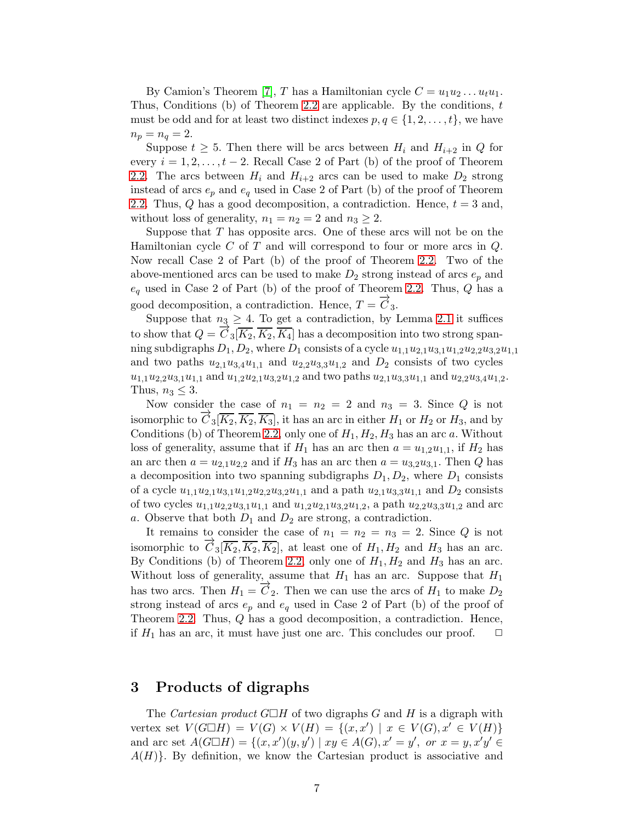By Camion's Theorem [\[7\]](#page-12-5), T has a Hamiltonian cycle  $C = u_1u_2 \ldots u_tu_1$ . Thus, Conditions (b) of Theorem [2.2](#page-3-0) are applicable. By the conditions, t must be odd and for at least two distinct indexes  $p, q \in \{1, 2, \ldots, t\}$ , we have  $n_p = n_q = 2.$ 

Suppose  $t \geq 5$ . Then there will be arcs between  $H_i$  and  $H_{i+2}$  in Q for every  $i = 1, 2, \ldots, t - 2$ . Recall Case 2 of Part (b) of the proof of Theorem [2.2.](#page-3-0) The arcs between  $H_i$  and  $H_{i+2}$  arcs can be used to make  $D_2$  strong instead of arcs  $e_p$  and  $e_q$  used in Case 2 of Part (b) of the proof of Theorem [2.2.](#page-3-0) Thus,  $Q$  has a good decomposition, a contradiction. Hence,  $t = 3$  and, without loss of generality,  $n_1 = n_2 = 2$  and  $n_3 \geq 2$ .

Suppose that  $T$  has opposite arcs. One of these arcs will not be on the Hamiltonian cycle C of T and will correspond to four or more arcs in  $Q$ . Now recall Case 2 of Part (b) of the proof of Theorem [2.2.](#page-3-0) Two of the above-mentioned arcs can be used to make  $D_2$  strong instead of arcs  $e_p$  and  $e_q$  used in Case 2 of Part (b) of the proof of Theorem [2.2.](#page-3-0) Thus, Q has a good decomposition, a contradiction. Hence,  $T = \vec{C}_3$ .

Suppose that  $n_3 \geq 4$ . To get a contradiction, by Lemma [2.1](#page-2-1) it suffices to show that  $Q = \overrightarrow{C}_3[\overline{K_2}, \overline{K_2}, \overline{K_4}]$  has a decomposition into two strong spanning subdigraphs  $D_1, D_2$ , where  $D_1$  consists of a cycle  $u_{1,1}u_{2,1}u_{3,1}u_{1,2}u_{2,2}u_{3,2}u_{1,1}$ and two paths  $u_{2,1}u_{3,4}u_{1,1}$  and  $u_{2,2}u_{3,3}u_{1,2}$  and  $D_2$  consists of two cycles  $u_{1,1}u_{2,2}u_{3,1}u_{1,1}$  and  $u_{1,2}u_{2,1}u_{3,2}u_{1,2}$  and two paths  $u_{2,1}u_{3,3}u_{1,1}$  and  $u_{2,2}u_{3,4}u_{1,2}$ . Thus,  $n_3 \leq 3$ .

Now consider the case of  $n_1 = n_2 = 2$  and  $n_3 = 3$ . Since Q is not isomorphic to  $C_3[\overline{K_2}, \overline{K_2}, \overline{K_3}]$ , it has an arc in either  $H_1$  or  $H_2$  or  $H_3$ , and by Conditions (b) of Theorem [2.2,](#page-3-0) only one of  $H_1, H_2, H_3$  has an arc a. Without loss of generality, assume that if  $H_1$  has an arc then  $a = u_{1,2}u_{1,1}$ , if  $H_2$  has an arc then  $a = u_{2,1}u_{2,2}$  and if  $H_3$  has an arc then  $a = u_{3,2}u_{3,1}$ . Then Q has a decomposition into two spanning subdigraphs  $D_1, D_2$ , where  $D_1$  consists of a cycle  $u_{1,1}u_{2,1}u_{3,1}u_{1,2}u_{2,2}u_{3,2}u_{1,1}$  and a path  $u_{2,1}u_{3,3}u_{1,1}$  and  $D_2$  consists of two cycles  $u_{1,1}u_{2,2}u_{3,1}u_{1,1}$  and  $u_{1,2}u_{2,1}u_{3,2}u_{1,2}$ , a path  $u_{2,2}u_{3,3}u_{1,2}$  and arc a. Observe that both  $D_1$  and  $D_2$  are strong, a contradiction.

It remains to consider the case of  $n_1 = n_2 = n_3 = 2$ . Since Q is not isomorphic to  $C_3[\overline{K_2}, \overline{K_2}, \overline{K_2}]$ , at least one of  $H_1, H_2$  and  $H_3$  has an arc. By Conditions (b) of Theorem [2.2,](#page-3-0) only one of  $H_1, H_2$  and  $H_3$  has an arc. Without loss of generality, assume that  $H_1$  has an arc. Suppose that  $H_1$ has two arcs. Then  $H_1 = \overrightarrow{C}_2$ . Then we can use the arcs of  $H_1$  to make  $D_2$ strong instead of arcs  $e_p$  and  $e_q$  used in Case 2 of Part (b) of the proof of Theorem [2.2.](#page-3-0) Thus, Q has a good decomposition, a contradiction. Hence, if  $H_1$  has an arc, it must have just one arc. This concludes our proof.  $\Box$ 

### <span id="page-6-0"></span>3 Products of digraphs

The *Cartesian product*  $G\Box H$  of two digraphs G and H is a digraph with vertex set  $V(G \Box H) = V(G) \times V(H) = \{(x, x') \mid x \in V(G), x' \in V(H)\}\$ and arc set  $A(G \Box H) = \{(x, x')(y, y') \mid xy \in A(G), x' = y', \text{ or } x = y, x'y' \in A(G) \}$  $A(H)$ . By definition, we know the Cartesian product is associative and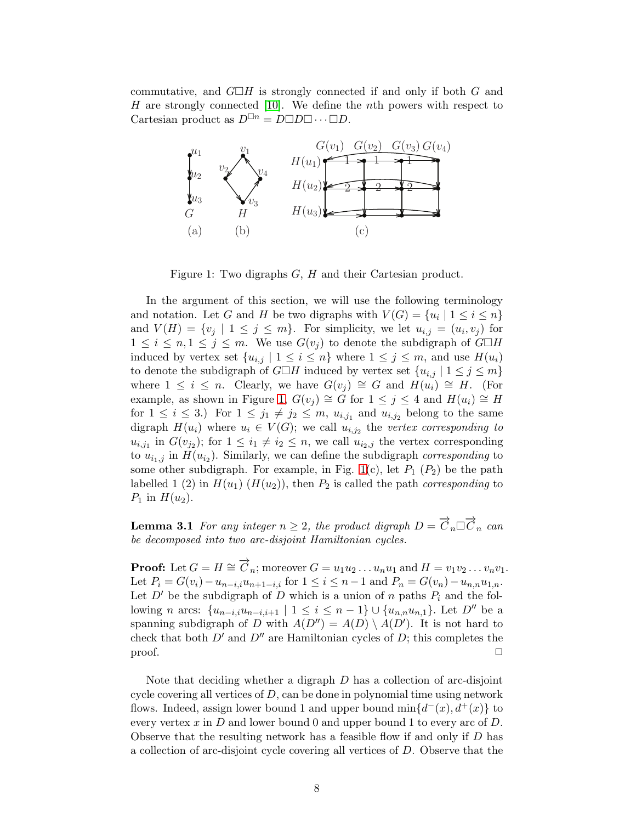commutative, and  $G\Box H$  is strongly connected if and only if both G and  $H$  are strongly connected [\[10\]](#page-13-3). We define the nth powers with respect to Cartesian product as  $D^{\Box n} = D \Box D \Box \cdots \Box D$ .



<span id="page-7-0"></span>Figure 1: Two digraphs G, H and their Cartesian product.

In the argument of this section, we will use the following terminology and notation. Let G and H be two digraphs with  $V(G) = \{u_i \mid 1 \leq i \leq n\}$ and  $V(H) = \{v_j \mid 1 \leq j \leq m\}$ . For simplicity, we let  $u_{i,j} = (u_i, v_j)$  for  $1 \leq i \leq n, 1 \leq j \leq m$ . We use  $G(v_j)$  to denote the subdigraph of  $G \square H$ induced by vertex set  $\{u_{i,j} | 1 \leq i \leq n\}$  where  $1 \leq j \leq m$ , and use  $H(u_i)$ to denote the subdigraph of  $G\Box H$  induced by vertex set  $\{u_{i,j} | 1 \leq j \leq m\}$ where  $1 \leq i \leq n$ . Clearly, we have  $G(v_i) \cong G$  and  $H(u_i) \cong H$ . (For example, as shown in Figure [1,](#page-7-0)  $G(v_i) \cong G$  for  $1 \leq j \leq 4$  and  $H(u_i) \cong H$ for  $1 \leq i \leq 3$ .) For  $1 \leq j_1 \neq j_2 \leq m$ ,  $u_{i,j_1}$  and  $u_{i,j_2}$  belong to the same digraph  $H(u_i)$  where  $u_i \in V(G)$ ; we call  $u_{i,j_2}$  the *vertex corresponding to*  $u_{i,j_1}$  in  $G(v_{j_2})$ ; for  $1 \leq i_1 \neq i_2 \leq n$ , we call  $u_{i_2,j}$  the vertex corresponding to  $u_{i_1,j}$  in  $H(u_{i_2})$ . Similarly, we can define the subdigraph *corresponding* to some other subdigraph. For example, in Fig. [1\(](#page-7-0)c), let  $P_1$  ( $P_2$ ) be the path labelled 1 (2) in  $H(u_1)$  ( $H(u_2)$ ), then  $P_2$  is called the path *corresponding* to  $P_1$  in  $H(u_2)$ .

<span id="page-7-1"></span>**Lemma 3.1** For any integer  $n \geq 2$ , the product digraph  $D = \overrightarrow{C}_n \Box \overrightarrow{C}_n$  can *be decomposed into two arc-disjoint Hamiltonian cycles.*

**Proof:** Let  $G = H \cong \overrightarrow{C}_n$ ; moreover  $G = u_1u_2 \ldots u_nu_1$  and  $H = v_1v_2 \ldots v_nv_1$ . Let  $P_i = G(v_i) - u_{n-i,i}u_{n+1-i,i}$  for  $1 \le i \le n-1$  and  $P_n = G(v_n) - u_{n,n}u_{1,n}$ . Let  $D'$  be the subdigraph of D which is a union of n paths  $P_i$  and the following *n* arcs:  $\{u_{n-i,i}u_{n-i,i+1} | 1 \le i \le n-1\} \cup \{u_{n,n}u_{n,1}\}.$  Let  $D''$  be a spanning subdigraph of D with  $A(D'') = A(D) \setminus A(D')$ . It is not hard to check that both  $D'$  and  $D''$  are Hamiltonian cycles of D; this completes the  $\Box$ 

Note that deciding whether a digraph D has a collection of arc-disjoint cycle covering all vertices of  $D$ , can be done in polynomial time using network flows. Indeed, assign lower bound 1 and upper bound  $\min\{d^-(x), d^+(x)\}$  to every vertex  $x$  in  $D$  and lower bound 0 and upper bound 1 to every arc of  $D$ . Observe that the resulting network has a feasible flow if and only if  $D$  has a collection of arc-disjoint cycle covering all vertices of D. Observe that the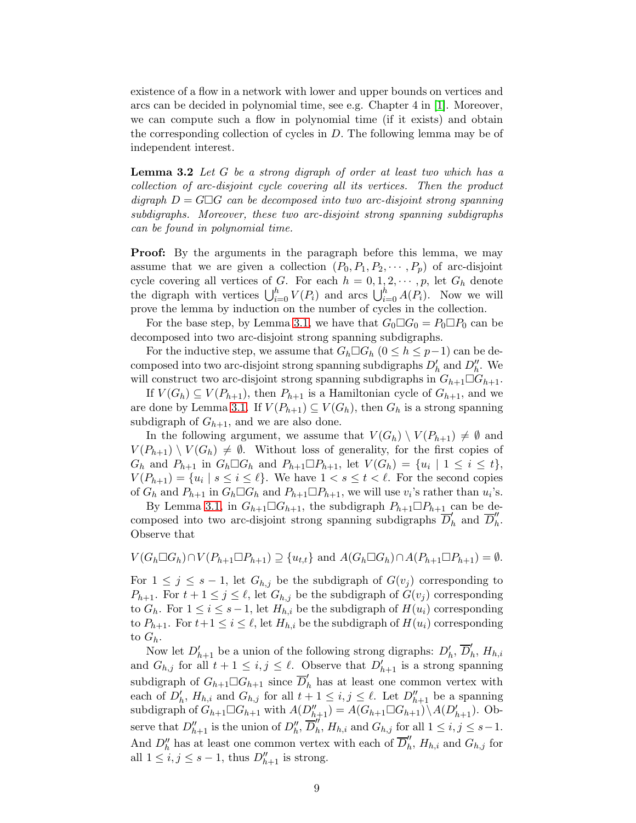existence of a flow in a network with lower and upper bounds on vertices and arcs can be decided in polynomial time, see e.g. Chapter 4 in [\[1\]](#page-12-0). Moreover, we can compute such a flow in polynomial time (if it exists) and obtain the corresponding collection of cycles in  $D$ . The following lemma may be of independent interest.

<span id="page-8-0"></span>Lemma 3.2 *Let* G *be a strong digraph of order at least two which has a collection of arc-disjoint cycle covering all its vertices. Then the product digraph*  $D = G \Box G$  *can be decomposed into two arc-disjoint strong spanning subdigraphs. Moreover, these two arc-disjoint strong spanning subdigraphs can be found in polynomial time.*

Proof: By the arguments in the paragraph before this lemma, we may assume that we are given a collection  $(P_0, P_1, P_2, \cdots, P_p)$  of arc-disjoint cycle covering all vertices of G. For each  $h = 0, 1, 2, \cdots, p$ , let  $G_h$  denote the digraph with vertices  $\bigcup_{i=0}^{h} V(P_i)$  and arcs  $\bigcup_{i=0}^{h} A(P_i)$ . Now we will prove the lemma by induction on the number of cycles in the collection.

For the base step, by Lemma [3.1,](#page-7-1) we have that  $G_0 \Box G_0 = P_0 \Box P_0$  can be decomposed into two arc-disjoint strong spanning subdigraphs.

For the inductive step, we assume that  $G_h \Box G_h$   $(0 \leq h \leq p-1)$  can be decomposed into two arc-disjoint strong spanning subdigraphs  $D'_{h}$  and  $D''_{h}$ . We will construct two arc-disjoint strong spanning subdigraphs in  $G_{h+1}\Box G_{h+1}$ .

If  $V(G_h) \subseteq V(P_{h+1})$ , then  $P_{h+1}$  is a Hamiltonian cycle of  $G_{h+1}$ , and we are done by Lemma [3.1.](#page-7-1) If  $V(P_{h+1}) \subseteq V(G_h)$ , then  $G_h$  is a strong spanning subdigraph of  $G_{h+1}$ , and we are also done.

In the following argument, we assume that  $V(G_h) \setminus V(P_{h+1}) \neq \emptyset$  and  $V(P_{h+1}) \setminus V(G_h) \neq \emptyset$ . Without loss of generality, for the first copies of  $G_h$  and  $P_{h+1}$  in  $G_h \square G_h$  and  $P_{h+1} \square P_{h+1}$ , let  $V(G_h) = \{u_i \mid 1 \leq i \leq t\}$ ,  $V(P_{h+1}) = \{u_i \mid s \leq i \leq \ell\}$ . We have  $1 < s \leq t < \ell$ . For the second copies of  $G_h$  and  $P_{h+1}$  in  $G_h \Box G_h$  and  $P_{h+1} \Box P_{h+1}$ , we will use  $v_i$ 's rather than  $u_i$ 's.

By Lemma [3.1,](#page-7-1) in  $G_{h+1}\square G_{h+1}$ , the subdigraph  $P_{h+1}\square P_{h+1}$  can be decomposed into two arc-disjoint strong spanning subdigraphs  $\overline{D}'_l$  $'_{h}$  and  $\overline{D}''_{h}$  $\frac{n}{h}$ . Observe that

$$
V(G_h \square G_h) \cap V(P_{h+1} \square P_{h+1}) \supseteq \{u_{t,t}\} \text{ and } A(G_h \square G_h) \cap A(P_{h+1} \square P_{h+1}) = \emptyset.
$$

For  $1 \leq j \leq s-1$ , let  $G_{h,j}$  be the subdigraph of  $G(v_j)$  corresponding to  $P_{h+1}$ . For  $t+1 \leq j \leq \ell$ , let  $G_{h,j}$  be the subdigraph of  $G(v_j)$  corresponding to  $G_h$ . For  $1 \leq i \leq s-1$ , let  $H_{h,i}$  be the subdigraph of  $H(u_i)$  corresponding to  $P_{h+1}$ . For  $t+1 \leq i \leq \ell$ , let  $H_{h,i}$  be the subdigraph of  $H(u_i)$  corresponding to  $G_h$ .

Now let  $D'_{h+1}$  be a union of the following strong digraphs:  $D'_{h}$ ,  $\overline{D}'_{h}$  $_h',\,H_{h,i}$ and  $G_{h,j}$  for all  $t+1 \leq i,j \leq \ell$ . Observe that  $D'_{h+1}$  is a strong spanning subdigraph of  $G_{h+1}\Box G_{h+1}$  since  $\overline{D}'_h$  has at least one common vertex with each of  $D'_{h}$ ,  $H_{h,i}$  and  $G_{h,j}$  for all  $t+1 \leq i,j \leq \ell$ . Let  $D''_{h+1}$  be a spanning subdigraph of  $G_{h+1}\Box G_{h+1}$  with  $A(D''_{h+1})=A(G_{h+1}\Box G_{h+1})\setminus A(D'_{h+1})$ . Observe that  $D''_{h+1}$  is the union of  $D''_h$ ,  $\overline{D}''_h$  $'_{h}$ ,  $H_{h,i}$  and  $G_{h,j}$  for all  $1 \leq i,j \leq s-1$ . And  $D''_h$  has at least one common vertex with each of  $\overline{D}''_h$  $'_{h}$ ,  $H_{h,i}$  and  $G_{h,j}$  for all  $1 \leq i, j \leq s-1$ , thus  $D''_{h+1}$  is strong.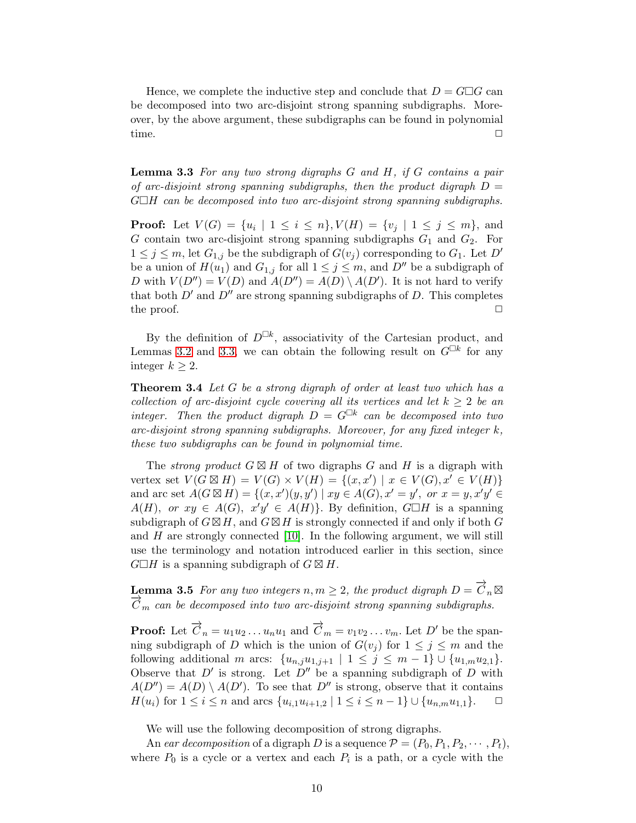Hence, we complete the inductive step and conclude that  $D = G \Box G$  can be decomposed into two arc-disjoint strong spanning subdigraphs. Moreover, by the above argument, these subdigraphs can be found in polynomial time.  $\Box$ 

<span id="page-9-1"></span>Lemma 3.3 *For any two strong digraphs* G *and* H*, if* G *contains a pair of arc-disjoint strong spanning subdigraphs, then the product digraph* D = GH *can be decomposed into two arc-disjoint strong spanning subdigraphs.*

**Proof:** Let  $V(G) = \{u_i \mid 1 \le i \le n\}$ ,  $V(H) = \{v_j \mid 1 \le j \le m\}$ , and G contain two arc-disjoint strong spanning subdigraphs  $G_1$  and  $G_2$ . For  $1 \leq j \leq m$ , let  $G_{1,j}$  be the subdigraph of  $G(v_j)$  corresponding to  $G_1$ . Let  $D'$ be a union of  $H(u_1)$  and  $G_{1,j}$  for all  $1 \leq j \leq m$ , and  $D''$  be a subdigraph of D with  $V(D'') = V(D)$  and  $A(D'') = A(D) \setminus A(D')$ . It is not hard to verify that both  $D'$  and  $D''$  are strong spanning subdigraphs of D. This completes the proof.  $\Box$ 

By the definition of  $D^{\Box k}$ , associativity of the Cartesian product, and Lemmas [3.2](#page-8-0) and [3.3,](#page-9-1) we can obtain the following result on  $G^{\Box k}$  for any integer  $k \geq 2$ .

<span id="page-9-0"></span>Theorem 3.4 *Let* G *be a strong digraph of order at least two which has a collection of arc-disjoint cycle covering all its vertices and let*  $k \geq 2$  *be an* integer. Then the product digraph  $D = G^{\Box k}$  can be decomposed into two *arc-disjoint strong spanning subdigraphs. Moreover, for any fixed integer* k*, these two subdigraphs can be found in polynomial time.*

The *strong product*  $G \boxtimes H$  of two digraphs G and H is a digraph with vertex set  $V(G \boxtimes H) = V(G) \times V(H) = \{(x, x') | x \in V(G), x' \in V(H)\}\$ and arc set  $A(G \boxtimes H) = \{(x, x')(y, y') \mid xy \in A(G), x' = y', \text{ or } x = y, x'y' \in A(G)\}$  $A(H)$ , or  $xy \in A(G)$ ,  $x'y' \in A(H)$ . By definition,  $G \Box H$  is a spanning subdigraph of  $G \boxtimes H$ , and  $G \boxtimes H$  is strongly connected if and only if both G and  $H$  are strongly connected [\[10\]](#page-13-3). In the following argument, we will still use the terminology and notation introduced earlier in this section, since  $G\Box H$  is a spanning subdigraph of  $G\boxtimes H$ .

<span id="page-9-2"></span>Lemma 3.5 *For any two integers*  $n, m \geq 2$ , the product digraph  $D = \overrightarrow{C}_n \boxtimes$  $\overline{C}_m$  can be decomposed into two arc-disjoint strong spanning subdigraphs.

**Proof:** Let  $\overrightarrow{C}_n = u_1u_2 \ldots u_nu_1$  and  $\overrightarrow{C}_m = v_1v_2 \ldots v_m$ . Let  $D'$  be the spanning subdigraph of D which is the union of  $G(v_i)$  for  $1 \leq j \leq m$  and the following additional m arcs:  $\{u_{n,j}u_{1,j+1} | 1 \leq j \leq m-1\} \cup \{u_{1,m}u_{2,1}\}.$ Observe that  $D'$  is strong. Let  $D''$  be a spanning subdigraph of D with  $A(D'') = A(D) \setminus A(D')$ . To see that D'' is strong, observe that it contains  $H(u_i)$  for  $1 \le i \le n$  and arcs  $\{u_{i,1}u_{i+1,2} | 1 \le i \le n-1\} \cup \{u_{n,m}u_{1,1}\}.$   $\Box$ 

We will use the following decomposition of strong digraphs.

An *ear decomposition* of a digraph D is a sequence  $\mathcal{P} = (P_0, P_1, P_2, \cdots, P_t)$ , where  $P_0$  is a cycle or a vertex and each  $P_i$  is a path, or a cycle with the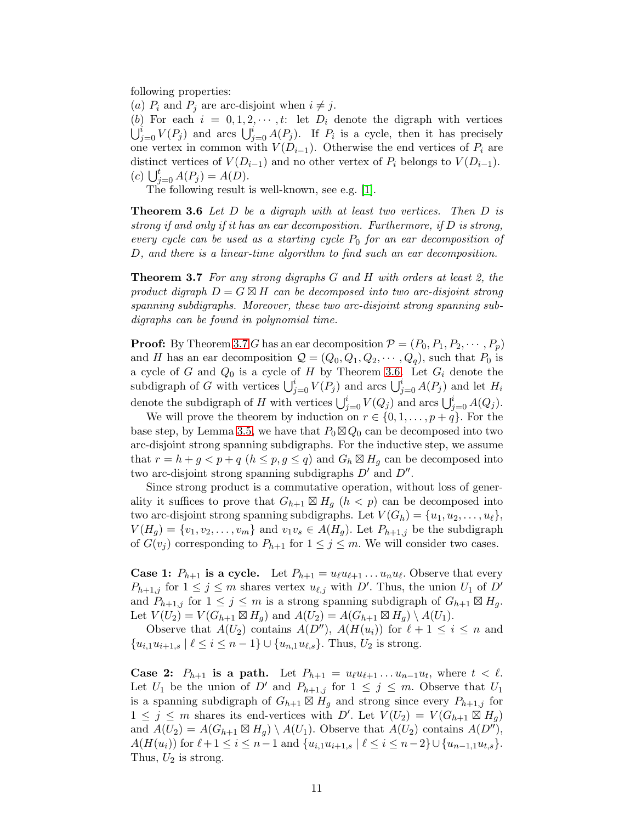following properties:

(a)  $P_i$  and  $P_j$  are arc-disjoint when  $i \neq j$ .

(b) For each  $i = 0, 1, 2, \cdots, t$ : let  $D_i$  denote the digraph with vertices  $\bigcup_{j=0}^{i} V(P_j)$  and arcs  $\bigcup_{j=0}^{i} A(P_j)$ . If  $P_i$  is a cycle, then it has precisely one vertex in common with  $V(D_{i-1})$ . Otherwise the end vertices of  $P_i$  are distinct vertices of  $V(D_{i-1})$  and no other vertex of  $P_i$  belongs to  $V(D_{i-1})$ . (c)  $\bigcup_{j=0}^{t} A(P_j) = A(D).$ 

<span id="page-10-1"></span>The following result is well-known, see e.g. [\[1\]](#page-12-0).

Theorem 3.6 *Let* D *be a digraph with at least two vertices. Then* D *is strong if and only if it has an ear decomposition. Furthermore, if* D *is strong, every cycle can be used as a starting cycle*  $P_0$  *for an ear decomposition of* D*, and there is a linear-time algorithm to find such an ear decomposition.*

<span id="page-10-0"></span>Theorem 3.7 *For any strong digraphs* G *and* H *with orders at least 2, the product digraph*  $D = G \boxtimes H$  *can be decomposed into two arc-disjoint strong spanning subdigraphs. Moreover, these two arc-disjoint strong spanning subdigraphs can be found in polynomial time.*

**Proof:** By Theorem [3.7](#page-10-0) G has an ear decomposition  $\mathcal{P} = (P_0, P_1, P_2, \cdots, P_p)$ and H has an ear decomposition  $\mathcal{Q} = (Q_0, Q_1, Q_2, \dots, Q_q)$ , such that  $P_0$  is a cycle of G and  $Q_0$  is a cycle of H by Theorem [3.6.](#page-10-1) Let  $G_i$  denote the subdigraph of G with vertices  $\bigcup_{j=0}^{i} V(P_j)$  and arcs  $\bigcup_{j=0}^{i} A(P_j)$  and let  $H_i$ denote the subdigraph of H with vertices  $\bigcup_{j=0}^{i} V(Q_j)$  and arcs  $\bigcup_{j=0}^{i} A(Q_j)$ .

We will prove the theorem by induction on  $r \in \{0, 1, \ldots, p+q\}$ . For the base step, by Lemma [3.5,](#page-9-2) we have that  $P_0 \boxtimes Q_0$  can be decomposed into two arc-disjoint strong spanning subdigraphs. For the inductive step, we assume that  $r = h + g < p + q$   $(h \leq p, g \leq q)$  and  $G_h \boxtimes H_q$  can be decomposed into two arc-disjoint strong spanning subdigraphs  $D'$  and  $D''$ .

Since strong product is a commutative operation, without loss of generality it suffices to prove that  $G_{h+1} \boxtimes H_g$   $(h < p)$  can be decomposed into two arc-disjoint strong spanning subdigraphs. Let  $V(G_h) = \{u_1, u_2, \ldots, u_\ell\},\$  $V(H_g) = \{v_1, v_2, \ldots, v_m\}$  and  $v_1v_s \in A(H_g)$ . Let  $P_{h+1,j}$  be the subdigraph of  $G(v_i)$  corresponding to  $P_{h+1}$  for  $1 \leq j \leq m$ . We will consider two cases.

**Case 1:**  $P_{h+1}$  is a cycle. Let  $P_{h+1} = u_{\ell}u_{\ell+1} \dots u_nu_{\ell}$ . Observe that every  $P_{h+1,j}$  for  $1 \leq j \leq m$  shares vertex  $u_{\ell,j}$  with D'. Thus, the union  $U_1$  of D' and  $P_{h+1,j}$  for  $1 \leq j \leq m$  is a strong spanning subdigraph of  $G_{h+1} \boxtimes H_q$ . Let  $V(U_2) = V(G_{h+1} \boxtimes H_g)$  and  $A(U_2) = A(G_{h+1} \boxtimes H_g) \setminus A(U_1)$ .

Observe that  $A(U_2)$  contains  $A(D'')$ ,  $A(H(u_i))$  for  $\ell + 1 \leq i \leq n$  and  $\{u_{i,1}u_{i+1,s} \mid \ell \leq i \leq n-1\} \cup \{u_{n,1}u_{\ell,s}\}.$  Thus,  $U_2$  is strong.

Case 2:  $P_{h+1}$  is a path. Let  $P_{h+1} = u_{\ell}u_{\ell+1} \ldots u_{n-1}u_t$ , where  $t < \ell$ . Let  $U_1$  be the union of D' and  $P_{h+1,j}$  for  $1 \leq j \leq m$ . Observe that  $U_1$ is a spanning subdigraph of  $G_{h+1} \boxtimes H_g$  and strong since every  $P_{h+1,j}$  for  $1 \leq j \leq m$  shares its end-vertices with D'. Let  $V(U_2) = V(G_{h+1} \boxtimes H_g)$ and  $A(U_2) = A(G_{h+1} \boxtimes H_g) \setminus A(U_1)$ . Observe that  $A(U_2)$  contains  $A(D'')$ ,  $A(H(u_i))$  for  $\ell+1 \leq i \leq n-1$  and  $\{u_{i,1}u_{i+1,s} \mid \ell \leq i \leq n-2\} \cup \{u_{n-1,1}u_{t,s}\}.$ Thus,  $U_2$  is strong.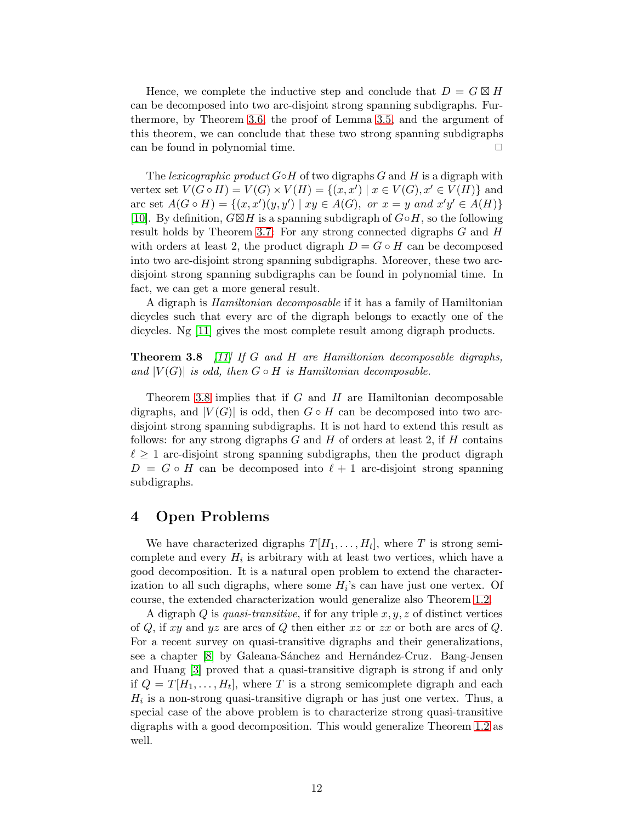Hence, we complete the inductive step and conclude that  $D = G \boxtimes H$ can be decomposed into two arc-disjoint strong spanning subdigraphs. Furthermore, by Theorem [3.6,](#page-10-1) the proof of Lemma [3.5,](#page-9-2) and the argument of this theorem, we can conclude that these two strong spanning subdigraphs can be found in polynomial time.  $\Box$ 

The *lexicographic product* G◦H of two digraphs G and H is a digraph with vertex set  $V(G \circ H) = V(G) \times V(H) = \{(x, x') | x \in V(G), x' \in V(H)\}\$ and arc set  $A(G \circ H) = \{(x, x')(y, y') \mid xy \in A(G), \text{ or } x = y \text{ and } x'y' \in A(H)\}\$ [\[10\]](#page-13-3). By definition,  $G\boxtimes H$  is a spanning subdigraph of  $G\circ H$ , so the following result holds by Theorem [3.7:](#page-10-0) For any strong connected digraphs G and H with orders at least 2, the product digraph  $D = G \circ H$  can be decomposed into two arc-disjoint strong spanning subdigraphs. Moreover, these two arcdisjoint strong spanning subdigraphs can be found in polynomial time. In fact, we can get a more general result.

A digraph is *Hamiltonian decomposable* if it has a family of Hamiltonian dicycles such that every arc of the digraph belongs to exactly one of the dicycles. Ng [\[11\]](#page-13-4) gives the most complete result among digraph products.

<span id="page-11-1"></span>Theorem 3.8 *[\[11\]](#page-13-4) If* G *and* H *are Hamiltonian decomposable digraphs,* and  $|V(G)|$  *is odd, then*  $G \circ H$  *is Hamiltonian decomposable.* 

Theorem [3.8](#page-11-1) implies that if  $G$  and  $H$  are Hamiltonian decomposable digraphs, and  $|V(G)|$  is odd, then  $G \circ H$  can be decomposed into two arcdisjoint strong spanning subdigraphs. It is not hard to extend this result as follows: for any strong digraphs  $G$  and  $H$  of orders at least 2, if  $H$  contains  $\ell \geq 1$  arc-disjoint strong spanning subdigraphs, then the product digraph  $D = G \circ H$  can be decomposed into  $\ell + 1$  arc-disjoint strong spanning subdigraphs.

# <span id="page-11-0"></span>4 Open Problems

We have characterized digraphs  $T[H_1, \ldots, H_t]$ , where T is strong semicomplete and every  $H_i$  is arbitrary with at least two vertices, which have a good decomposition. It is a natural open problem to extend the characterization to all such digraphs, where some  $H_i$ 's can have just one vertex. Of course, the extended characterization would generalize also Theorem [1.2.](#page-1-1)

A digraph Q is *quasi-transitive*, if for any triple x, y, z of distinct vertices of  $Q$ , if xy and yz are arcs of  $Q$  then either xz or zx or both are arcs of  $Q$ . For a recent survey on quasi-transitive digraphs and their generalizations, see a chapter [\[8\]](#page-13-2) by Galeana-Sánchez and Hernández-Cruz. Bang-Jensen and Huang [\[3\]](#page-12-6) proved that a quasi-transitive digraph is strong if and only if  $Q = T[H_1, \ldots, H_t]$ , where T is a strong semicomplete digraph and each  $H_i$  is a non-strong quasi-transitive digraph or has just one vertex. Thus, a special case of the above problem is to characterize strong quasi-transitive digraphs with a good decomposition. This would generalize Theorem [1.2](#page-1-1) as well.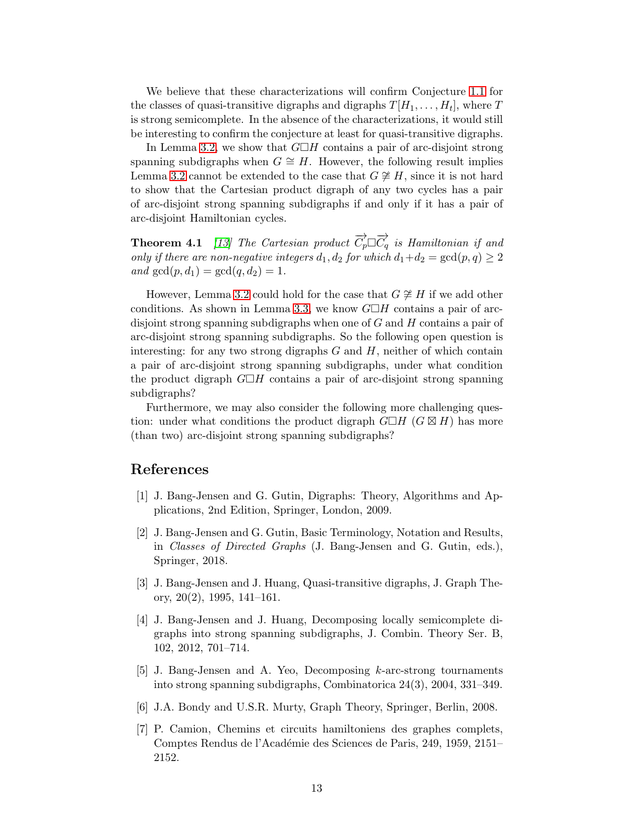We believe that these characterizations will confirm Conjecture [1.1](#page-1-3) for the classes of quasi-transitive digraphs and digraphs  $T[H_1, \ldots, H_t]$ , where T is strong semicomplete. In the absence of the characterizations, it would still be interesting to confirm the conjecture at least for quasi-transitive digraphs.

In Lemma [3.2,](#page-8-0) we show that  $G\Box H$  contains a pair of arc-disjoint strong spanning subdigraphs when  $G \cong H$ . However, the following result implies Lemma [3.2](#page-8-0) cannot be extended to the case that  $G \not\cong H$ , since it is not hard to show that the Cartesian product digraph of any two cycles has a pair of arc-disjoint strong spanning subdigraphs if and only if it has a pair of arc-disjoint Hamiltonian cycles.

**Theorem 4.1** [\[13\]](#page-13-5) The Cartesian product  $\overrightarrow{C_p} \Box \overrightarrow{C_q}$  is Hamiltonian if and *only if there are non-negative integers*  $d_1, d_2$  *for which*  $d_1 + d_2 = \gcd(p, q) \geq 2$ *and*  $gcd(p, d_1) = gcd(q, d_2) = 1$ .

However, Lemma [3.2](#page-8-0) could hold for the case that  $G \not\cong H$  if we add other conditions. As shown in Lemma [3.3,](#page-9-1) we know  $G\Box H$  contains a pair of arcdisjoint strong spanning subdigraphs when one of  $G$  and  $H$  contains a pair of arc-disjoint strong spanning subdigraphs. So the following open question is interesting: for any two strong digraphs  $G$  and  $H$ , neither of which contain a pair of arc-disjoint strong spanning subdigraphs, under what condition the product digraph  $G\Box H$  contains a pair of arc-disjoint strong spanning subdigraphs?

Furthermore, we may also consider the following more challenging question: under what conditions the product digraph  $G\Box H$  ( $G\boxtimes H$ ) has more (than two) arc-disjoint strong spanning subdigraphs?

# <span id="page-12-0"></span>References

- <span id="page-12-1"></span>[1] J. Bang-Jensen and G. Gutin, Digraphs: Theory, Algorithms and Applications, 2nd Edition, Springer, London, 2009.
- [2] J. Bang-Jensen and G. Gutin, Basic Terminology, Notation and Results, in *Classes of Directed Graphs* (J. Bang-Jensen and G. Gutin, eds.), Springer, 2018.
- <span id="page-12-6"></span>[3] J. Bang-Jensen and J. Huang, Quasi-transitive digraphs, J. Graph Theory, 20(2), 1995, 141–161.
- <span id="page-12-3"></span>[4] J. Bang-Jensen and J. Huang, Decomposing locally semicomplete digraphs into strong spanning subdigraphs, J. Combin. Theory Ser. B, 102, 2012, 701–714.
- <span id="page-12-4"></span>[5] J. Bang-Jensen and A. Yeo, Decomposing k-arc-strong tournaments into strong spanning subdigraphs, Combinatorica 24(3), 2004, 331–349.
- <span id="page-12-5"></span><span id="page-12-2"></span>[6] J.A. Bondy and U.S.R. Murty, Graph Theory, Springer, Berlin, 2008.
- [7] P. Camion, Chemins et circuits hamiltoniens des graphes complets, Comptes Rendus de l'Académie des Sciences de Paris, 249, 1959, 2151– 2152.